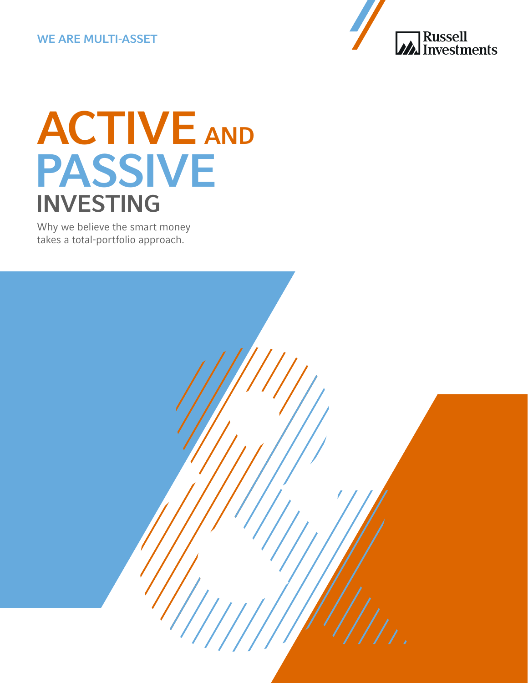#### WE ARE MULTI-ASSET



# ACTIVE AND PASSIVE INVESTING

Why we believe the smart money takes a total-portfolio approach.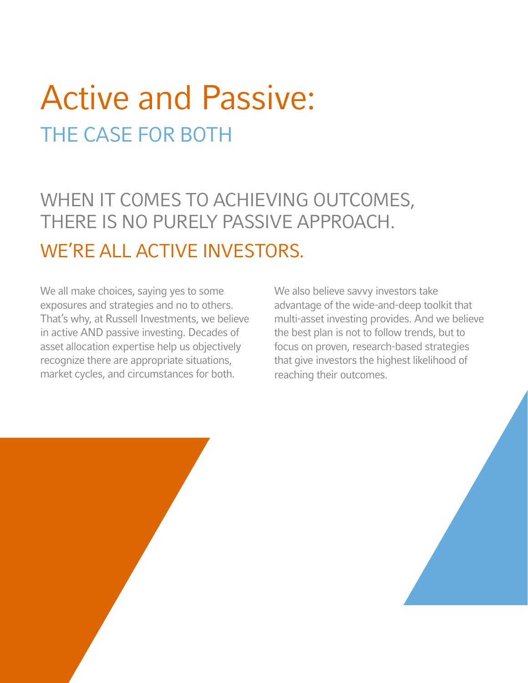## Active and Passive: THE CASE FOR BOTH

WHEN IT COMES TO ACHIEVING OUTCOMES, THERE IS NO PURELY PASSIVE APPROACH. WE'RE ALL ACTIVE INVESTORS.

We all make choices, saying yes to some exposures and strategies and no to others. That's why, at Russell Investments, we believe in active AND passive investing. Decades of asset allocation expertise help us objectively recognize there are appropriate situations, market cycles, and circumstances for both.

We also believe savvy investors take advantage of the wide-and-deep toolkit that multi-asset investing provides. And we believe the best plan is not to follow trends, but to focus on proven, research-based strategies that give investors the highest likelihood of reaching their outcomes.

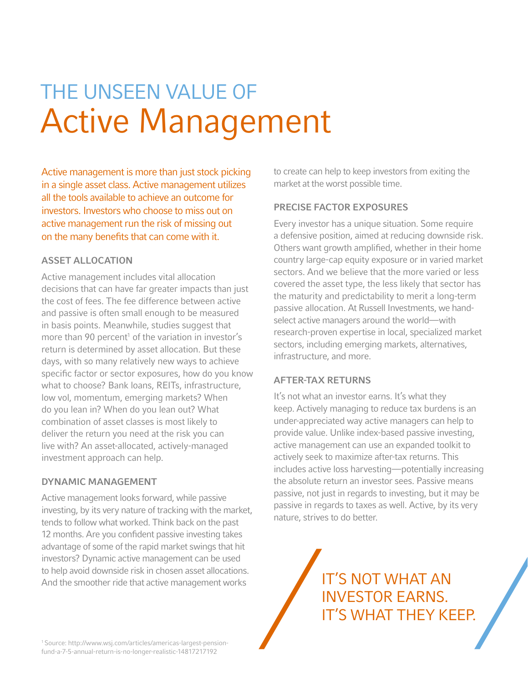## THE UNSEEN VALUE OF Active Management

Active management is more than just stock picking in a single asset class. Active management utilizes all the tools available to achieve an outcome for investors. Investors who choose to miss out on active management run the risk of missing out on the many benefits that can come with it.

#### ASSET ALLOCATION

Active management includes vital allocation decisions that can have far greater impacts than just the cost of fees. The fee difference between active and passive is often small enough to be measured in basis points. Meanwhile, studies suggest that more than 90 percent<sup>1</sup> of the variation in investor's return is determined by asset allocation. But these days, with so many relatively new ways to achieve specific factor or sector exposures, how do you know what to choose? Bank loans, REITs, infrastructure, low vol, momentum, emerging markets? When do you lean in? When do you lean out? What combination of asset classes is most likely to deliver the return you need at the risk you can live with? An asset-allocated, actively-managed investment approach can help.

#### DYNAMIC MANAGEMENT

Active management looks forward, while passive investing, by its very nature of tracking with the market, tends to follow what worked. Think back on the past 12 months. Are you confident passive investing takes advantage of some of the rapid market swings that hit investors? Dynamic active management can be used to help avoid downside risk in chosen asset allocations. And the smoother ride that active management works

to create can help to keep investors from exiting the market at the worst possible time.

#### PRECISE FACTOR EXPOSURES

Every investor has a unique situation. Some require a defensive position, aimed at reducing downside risk. Others want growth amplified, whether in their home country large-cap equity exposure or in varied market sectors. And we believe that the more varied or less covered the asset type, the less likely that sector has the maturity and predictability to merit a long-term passive allocation. At Russell Investments, we handselect active managers around the world—with research-proven expertise in local, specialized market sectors, including emerging markets, alternatives, infrastructure, and more.

#### AFTER-TAX RETURNS

It's not what an investor earns. It's what they keep. Actively managing to reduce tax burdens is an under-appreciated way active managers can help to provide value. Unlike index-based passive investing, active management can use an expanded toolkit to actively seek to maximize after-tax returns. This includes active loss harvesting—potentially increasing the absolute return an investor sees. Passive means passive, not just in regards to investing, but it may be passive in regards to taxes as well. Active, by its very nature, strives to do better.

> IT'S NOT WHAT AN INVESTOR EARNS. IT'S WHAT THEY KEEP.

1 Source: http://www.wsj.com/articles/americas-largest-pensionfund-a-7-5-annual-return-is-no-longer-realistic-14817217192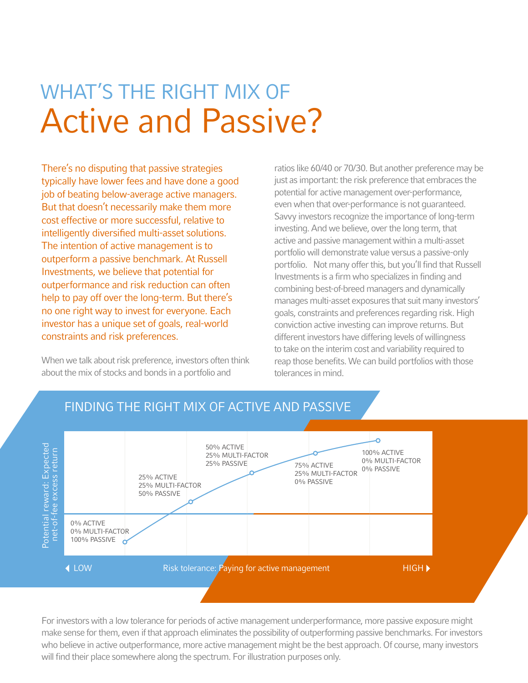## WHAT'S THE RIGHT MIX OF Active and Passive?

There's no disputing that passive strategies typically have lower fees and have done a good job of beating below-average active managers. But that doesn't necessarily make them more cost effective or more successful, relative to intelligently diversified multi-asset solutions. The intention of active management is to outperform a passive benchmark. At Russell Investments, we believe that potential for outperformance and risk reduction can often help to pay off over the long-term. But there's no one right way to invest for everyone. Each investor has a unique set of goals, real-world constraints and risk preferences.

When we talk about risk preference, investors often think about the mix of stocks and bonds in a portfolio and

ratios like 60/40 or 70/30. But another preference may be just as important: the risk preference that embraces the potential for active management over-performance, even when that over-performance is not guaranteed. Savvy investors recognize the importance of long-term investing. And we believe, over the long term, that active and passive management within a multi-asset portfolio will demonstrate value versus a passive-only portfolio. Not many offer this, but you'll find that Russell Investments is a firm who specializes in finding and combining best-of-breed managers and dynamically manages multi-asset exposures that suit many investors' goals, constraints and preferences regarding risk. High conviction active investing can improve returns. But different investors have differing levels of willingness to take on the interim cost and variability required to reap those benefits. We can build portfolios with those tolerances in mind.



#### FINDING THE RIGHT MIX OF ACTIVE AND PASSIVE FINDING THE RIGHT MIX OF ACTIVE AND PASSIVE

For investors with a low tolerance for periods of active management underperformance, more passive exposure might make sense for them, even if that approach eliminates the possibility of outperforming passive benchmarks. For investors who believe in active outperformance, more active management might be the best approach. Of course, many investors will find their place somewhere along the spectrum. For illustration purposes only.

even if that approach eliminates the possibility of outperforming passive benchmarks. For investors who believe in active outperformance,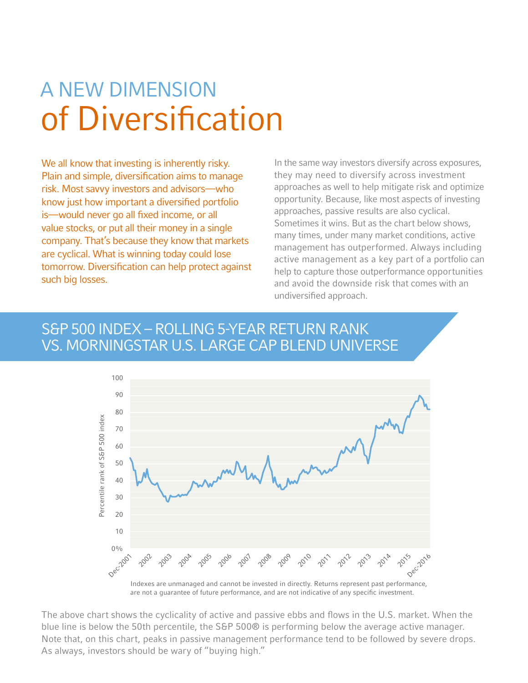## A NEW DIMENSION of Diversification

We all know that investing is inherently risky. Plain and simple, diversification aims to manage risk. Most savvy investors and advisors—who know just how important a diversified portfolio is—would never go all fixed income, or all value stocks, or put all their money in a single company. That's because they know that markets are cyclical. What is winning today could lose tomorrow. Diversification can help protect against such big losses.

In the same way investors diversify across exposures, they may need to diversify across investment approaches as well to help mitigate risk and optimize opportunity. Because, like most aspects of investing approaches, passive results are also cyclical. Sometimes it wins. But as the chart below shows, many times, under many market conditions, active management has outperformed. Always including active management as a key part of a portfolio can help to capture those outperformance opportunities and avoid the downside risk that comes with an undiversified approach.

#### S&P 500 INDEX – ROLLING 5-YEAR RETURN RANK VS. MORNINGSTAR U.S. LARGE CAP BLEND UNIVERSE



The above chart shows the cyclicality of active and passive ebbs and flows in the U.S. market. When the blue line is below the 50th percentile, the S&P 500® is performing below the average active manager. Note that, on this chart, peaks in passive management performance tend to be followed by severe drops. As always, investors should be wary of "buying high."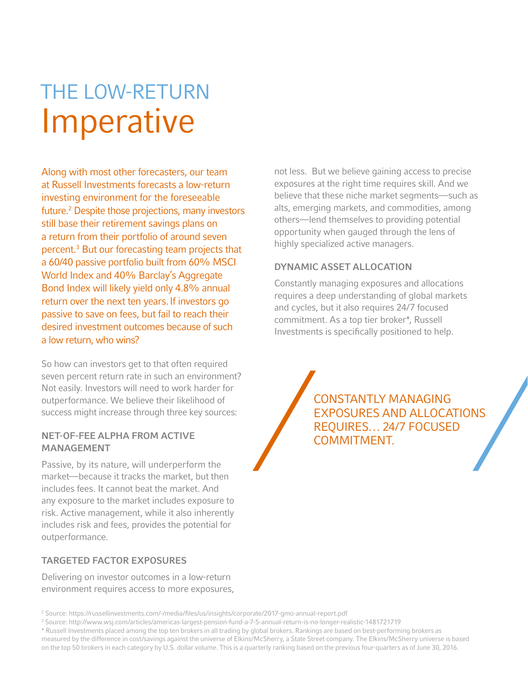## THE LOW-RETURN Imperative

Along with most other forecasters, our team at Russell Investments forecasts a low-return investing environment for the foreseeable future.2 Despite those projections, many investors still base their retirement savings plans on a return from their portfolio of around seven percent.3 But our forecasting team projects that a 60/40 passive portfolio built from 60% MSCI World Index and 40% Barclay's Aggregate Bond Index will likely yield only 4.8% annual return over the next ten years. If investors go passive to save on fees, but fail to reach their desired investment outcomes because of such a low return, who wins?

So how can investors get to that often required seven percent return rate in such an environment? Not easily. Investors will need to work harder for outperformance. We believe their likelihood of success might increase through three key sources:

#### NET-OF-FEE ALPHA FROM ACTIVE MANAGEMENT

Passive, by its nature, will underperform the market—because it tracks the market, but then includes fees. It cannot beat the market. And any exposure to the market includes exposure to risk. Active management, while it also inherently includes risk and fees, provides the potential for outperformance.

#### TARGETED FACTOR EXPOSURES

Delivering on investor outcomes in a low-return environment requires access to more exposures,

2 Source: https://russellinvestments.com/-/media/files/us/insights/corporate/2017-gmo-annual-report.pdf

3 Source: http://www.wsj.com/articles/americas-largest-pension-fund-a-7-5-annual-return-is-no-longer-realistic-1481721719

\* Russell Investments placed among the top ten brokers in all trading by global brokers. Rankings are based on best-performing brokers as measured by the difference in cost/savings against the universe of Elkins/McSherry, a State Street company. The Elkins/McSherry universe is based on the top 50 brokers in each category by U.S. dollar volume. This is a quarterly ranking based on the previous four-quarters as of June 30, 2016.

not less. But we believe gaining access to precise exposures at the right time requires skill. And we believe that these niche market segments—such as alts, emerging markets, and commodities, among others—lend themselves to providing potential opportunity when gauged through the lens of highly specialized active managers.

#### DYNAMIC ASSET ALLOCATION

Constantly managing exposures and allocations requires a deep understanding of global markets and cycles, but it also requires 24/7 focused commitment. As a top tier broker\*, Russell Investments is specifically positioned to help.

> CONSTANTLY MANAGING EXPOSURES AND ALLOCATIONS REQUIRES… 24/7 FOCUSED COMMITMENT.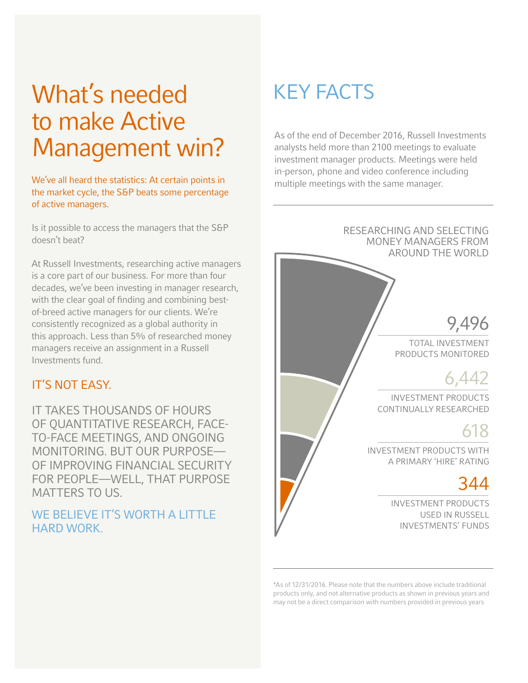### What's needed to make Active Management win?

We've all heard the statistics: At certain points in the market cycle, the S&P beats some percentage of active managers.

Is it possible to access the managers that the S&P doesn't beat?

At Russell Investments, researching active managers is a core part of our business. For more than four decades, we've been investing in manager research, with the clear goal of finding and combining bestof-breed active managers for our clients. We're consistently recognized as a global authority in this approach. Less than 5% of researched money managers receive an assignment in a Russell Investments fund.

#### IT'S NOT EASY.

IT TAKES THOUSANDS OF HOURS OF QUANTITATIVE RESEARCH, FACE-TO-FACE MEETINGS, AND ONGOING MONITORING. BUT OUR PURPOSE— OF IMPROVING FINANCIAL SECURITY FOR PEOPLE—WELL, THAT PURPOSE MATTERS TO US.

#### WE BELIEVE IT'S WORTH A LITTLE HARD WORK.

### KEY FACTS

As of the end of December 2016, Russell Investments analysts held more than 2100 meetings to evaluate investment manager products. Meetings were held in-person, phone and video conference including multiple meetings with the same manager.

#### RESEARCHING AND SELECTING MONEY MANAGERS FROM AROUND THE WORLD

### 9,496

TOTAL INVESTMENT PRODUCTS MONITORED

### 6,442

INVESTMENT PRODUCTS CONTINUALLY RESEARCHED

### 618

INVESTMENT PRODUCTS WITH A PRIMARY 'HIRE' RATING

### 344

INVESTMENT PRODUCTS USED IN RUSSELL INVESTMENTS' FUNDS

\*As of 12/31/2016. Please note that the numbers above include traditional products only, and not alternative products as shown in previous years and may not be a direct comparison with numbers provided in previous years